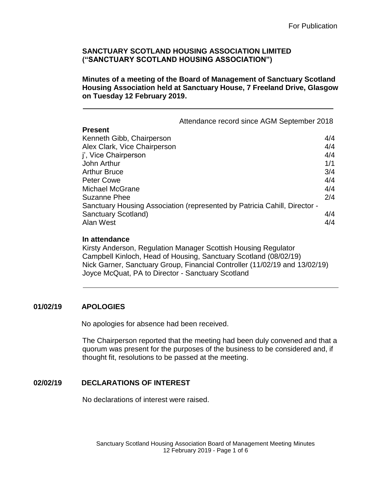**Minutes of a meeting of the Board of Management of Sanctuary Scotland Housing Association held at Sanctuary House, 7 Freeland Drive, Glasgow on Tuesday 12 February 2019.**

Attendance record since AGM September 2018 **Present** Kenneth Gibb, Chairperson **4/4** Alex Clark, Vice Chairperson **4/4** j', Vice Chairperson 4/4 John Arthur 1/1 Arthur Bruce 3/4 Peter Cowe 4/4 Michael McGrane 4/4 Suzanne Phee 2/4 Sanctuary Housing Association (represented by Patricia Cahill, Director - Sanctuary Scotland) 4/4 Alan West 4/4

## **In attendance**

Kirsty Anderson, Regulation Manager Scottish Housing Regulator Campbell Kinloch, Head of Housing, Sanctuary Scotland (08/02/19) Nick Garner, Sanctuary Group, Financial Controller (11/02/19 and 13/02/19) Joyce McQuat, PA to Director - Sanctuary Scotland

## **01/02/19 APOLOGIES**

No apologies for absence had been received.

The Chairperson reported that the meeting had been duly convened and that a quorum was present for the purposes of the business to be considered and, if thought fit, resolutions to be passed at the meeting.

# **02/02/19 DECLARATIONS OF INTEREST**

No declarations of interest were raised.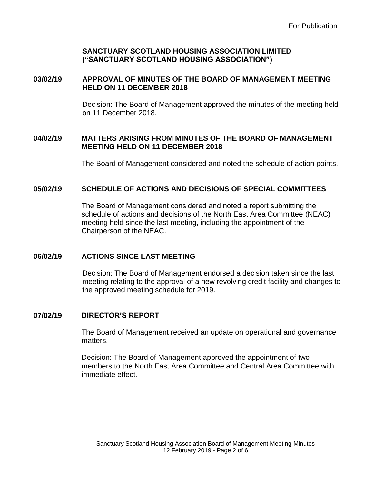## **03/02/19 APPROVAL OF MINUTES OF THE BOARD OF MANAGEMENT MEETING HELD ON 11 DECEMBER 2018**

Decision: The Board of Management approved the minutes of the meeting held on 11 December 2018.

## **04/02/19 MATTERS ARISING FROM MINUTES OF THE BOARD OF MANAGEMENT MEETING HELD ON 11 DECEMBER 2018**

The Board of Management considered and noted the schedule of action points.

## **05/02/19 SCHEDULE OF ACTIONS AND DECISIONS OF SPECIAL COMMITTEES**

The Board of Management considered and noted a report submitting the schedule of actions and decisions of the North East Area Committee (NEAC) meeting held since the last meeting, including the appointment of the Chairperson of the NEAC.

## **06/02/19 ACTIONS SINCE LAST MEETING**

Decision: The Board of Management endorsed a decision taken since the last meeting relating to the approval of a new revolving credit facility and changes to the approved meeting schedule for 2019.

## **07/02/19 DIRECTOR'S REPORT**

The Board of Management received an update on operational and governance matters.

Decision: The Board of Management approved the appointment of two members to the North East Area Committee and Central Area Committee with immediate effect.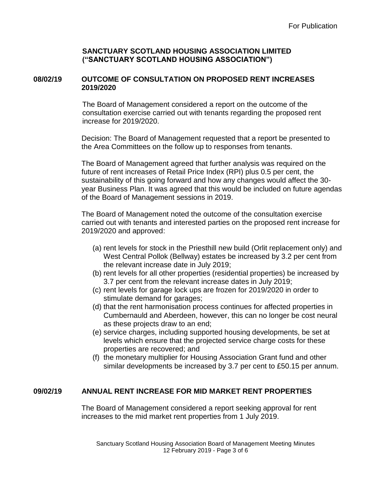## **08/02/19 OUTCOME OF CONSULTATION ON PROPOSED RENT INCREASES 2019/2020**

The Board of Management considered a report on the outcome of the consultation exercise carried out with tenants regarding the proposed rent increase for 2019/2020.

Decision: The Board of Management requested that a report be presented to the Area Committees on the follow up to responses from tenants.

The Board of Management agreed that further analysis was required on the future of rent increases of Retail Price Index (RPI) plus 0.5 per cent, the sustainability of this going forward and how any changes would affect the 30 year Business Plan. It was agreed that this would be included on future agendas of the Board of Management sessions in 2019.

The Board of Management noted the outcome of the consultation exercise carried out with tenants and interested parties on the proposed rent increase for 2019/2020 and approved:

- (a) rent levels for stock in the Priesthill new build (Orlit replacement only) and West Central Pollok (Bellway) estates be increased by 3.2 per cent from the relevant increase date in July 2019;
- (b) rent levels for all other properties (residential properties) be increased by 3.7 per cent from the relevant increase dates in July 2019;
- (c) rent levels for garage lock ups are frozen for 2019/2020 in order to stimulate demand for garages;
- (d) that the rent harmonisation process continues for affected properties in Cumbernauld and Aberdeen, however, this can no longer be cost neural as these projects draw to an end;
- (e) service charges, including supported housing developments, be set at levels which ensure that the projected service charge costs for these properties are recovered; and
- (f) the monetary multiplier for Housing Association Grant fund and other similar developments be increased by 3.7 per cent to £50.15 per annum.

## **09/02/19 ANNUAL RENT INCREASE FOR MID MARKET RENT PROPERTIES**

The Board of Management considered a report seeking approval for rent increases to the mid market rent properties from 1 July 2019.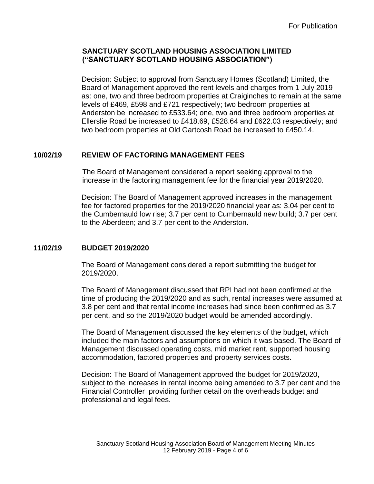Decision: Subject to approval from Sanctuary Homes (Scotland) Limited, the Board of Management approved the rent levels and charges from 1 July 2019 as: one, two and three bedroom properties at Craiginches to remain at the same levels of £469, £598 and £721 respectively; two bedroom properties at Anderston be increased to £533.64; one, two and three bedroom properties at Ellerslie Road be increased to £418.69, £528.64 and £622.03 respectively; and two bedroom properties at Old Gartcosh Road be increased to £450.14.

## **10/02/19 REVIEW OF FACTORING MANAGEMENT FEES**

The Board of Management considered a report seeking approval to the increase in the factoring management fee for the financial year 2019/2020.

Decision: The Board of Management approved increases in the management fee for factored properties for the 2019/2020 financial year as: 3.04 per cent to the Cumbernauld low rise; 3.7 per cent to Cumbernauld new build; 3.7 per cent to the Aberdeen; and 3.7 per cent to the Anderston.

# **11/02/19 BUDGET 2019/2020**

The Board of Management considered a report submitting the budget for 2019/2020.

The Board of Management discussed that RPI had not been confirmed at the time of producing the 2019/2020 and as such, rental increases were assumed at 3.8 per cent and that rental income increases had since been confirmed as 3.7 per cent, and so the 2019/2020 budget would be amended accordingly.

The Board of Management discussed the key elements of the budget, which included the main factors and assumptions on which it was based. The Board of Management discussed operating costs, mid market rent, supported housing accommodation, factored properties and property services costs.

Decision: The Board of Management approved the budget for 2019/2020, subject to the increases in rental income being amended to 3.7 per cent and the Financial Controller providing further detail on the overheads budget and professional and legal fees.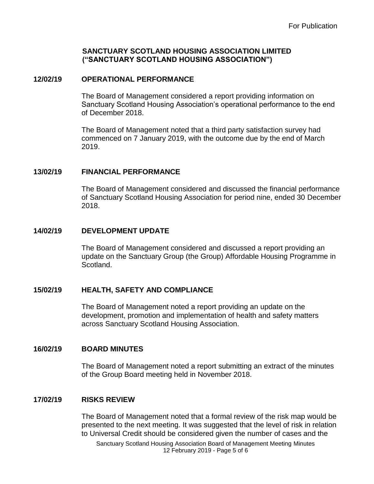#### **12/02/19 OPERATIONAL PERFORMANCE**

The Board of Management considered a report providing information on Sanctuary Scotland Housing Association's operational performance to the end of December 2018.

The Board of Management noted that a third party satisfaction survey had commenced on 7 January 2019, with the outcome due by the end of March 2019.

### **13/02/19 FINANCIAL PERFORMANCE**

The Board of Management considered and discussed the financial performance of Sanctuary Scotland Housing Association for period nine, ended 30 December 2018.

### **14/02/19 DEVELOPMENT UPDATE**

The Board of Management considered and discussed a report providing an update on the Sanctuary Group (the Group) Affordable Housing Programme in Scotland.

## **15/02/19 HEALTH, SAFETY AND COMPLIANCE**

The Board of Management noted a report providing an update on the development, promotion and implementation of health and safety matters across Sanctuary Scotland Housing Association.

#### **16/02/19 BOARD MINUTES**

The Board of Management noted a report submitting an extract of the minutes of the Group Board meeting held in November 2018.

## **17/02/19 RISKS REVIEW**

The Board of Management noted that a formal review of the risk map would be presented to the next meeting. It was suggested that the level of risk in relation to Universal Credit should be considered given the number of cases and the

Sanctuary Scotland Housing Association Board of Management Meeting Minutes 12 February 2019 - Page 5 of 6